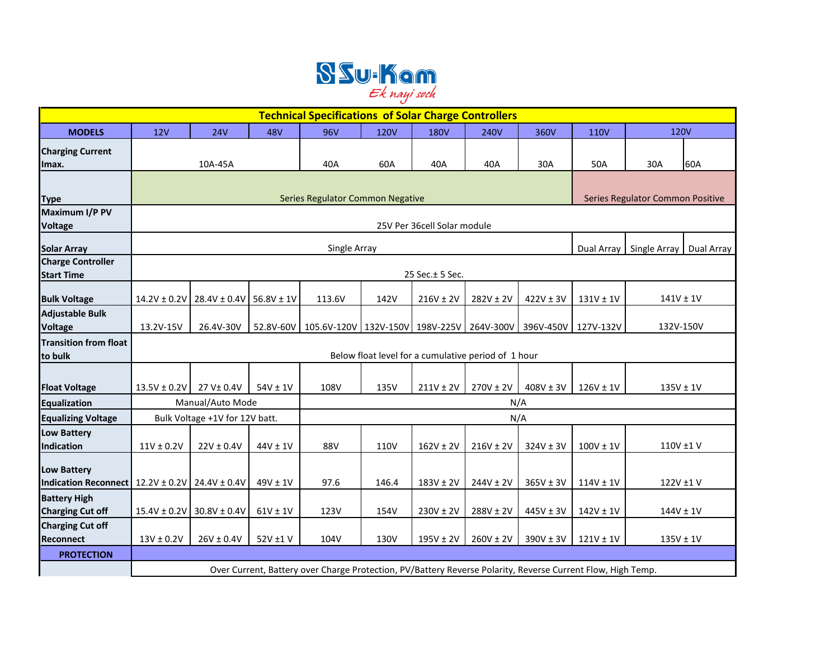

| <b>Technical Specifications of Solar Charge Controllers</b> |                                                     |                                                                                                             |              |                                                                         |             |               |               |               |                                  |               |     |
|-------------------------------------------------------------|-----------------------------------------------------|-------------------------------------------------------------------------------------------------------------|--------------|-------------------------------------------------------------------------|-------------|---------------|---------------|---------------|----------------------------------|---------------|-----|
| <b>MODELS</b>                                               | 12V                                                 | <b>24V</b>                                                                                                  | <b>48V</b>   | <b>96V</b>                                                              | <b>120V</b> | <b>180V</b>   | <b>240V</b>   | 360V          | <b>110V</b>                      | <b>120V</b>   |     |
| <b>Charging Current</b>                                     |                                                     |                                                                                                             |              |                                                                         |             |               |               |               |                                  |               |     |
| Imax.                                                       |                                                     | 10A-45A                                                                                                     |              | 40A                                                                     | 60A         | 40A           | 40A           | 30A           | 50A                              | 30A           | 60A |
|                                                             |                                                     |                                                                                                             |              |                                                                         |             |               |               |               |                                  |               |     |
| <b>Type</b>                                                 |                                                     |                                                                                                             |              | Series Regulator Common Negative                                        |             |               |               |               | Series Regulator Common Positive |               |     |
| Maximum I/P PV                                              |                                                     |                                                                                                             |              |                                                                         |             |               |               |               |                                  |               |     |
| <b>Voltage</b>                                              | 25V Per 36cell Solar module                         |                                                                                                             |              |                                                                         |             |               |               |               |                                  |               |     |
| <b>Solar Array</b>                                          | Single Array<br>Dual Array<br>Single Array          |                                                                                                             |              |                                                                         |             |               | Dual Array    |               |                                  |               |     |
| <b>Charge Controller</b>                                    |                                                     |                                                                                                             |              |                                                                         |             |               |               |               |                                  |               |     |
| <b>Start Time</b>                                           | 25 Sec. ± 5 Sec.                                    |                                                                                                             |              |                                                                         |             |               |               |               |                                  |               |     |
| <b>Bulk Voltage</b>                                         |                                                     | $14.2V \pm 0.2V$ 28.4V $\pm$ 0.4V 56.8V $\pm$ 1V                                                            |              | 113.6V                                                                  | 142V        | $216V \pm 2V$ | $282V \pm 2V$ | $422V \pm 3V$ | $131V \pm 1V$                    | $141V \pm 1V$ |     |
| <b>Adjustable Bulk</b>                                      |                                                     |                                                                                                             |              |                                                                         |             |               |               |               |                                  |               |     |
| <b>Voltage</b>                                              | 13.2V-15V                                           | 26.4V-30V                                                                                                   |              | 52.8V-60V   105.6V-120V   132V-150V   198V-225V   264V-300V   396V-450V |             |               |               |               | 127V-132V                        | 132V-150V     |     |
| <b>Transition from float</b>                                |                                                     |                                                                                                             |              |                                                                         |             |               |               |               |                                  |               |     |
| to bulk                                                     | Below float level for a cumulative period of 1 hour |                                                                                                             |              |                                                                         |             |               |               |               |                                  |               |     |
|                                                             |                                                     |                                                                                                             |              |                                                                         |             |               |               |               |                                  |               |     |
| <b>Float Voltage</b>                                        | $13.5V \pm 0.2V$                                    | 27 V± 0.4V                                                                                                  | $54V \pm 1V$ | 108V                                                                    | 135V        | $211V \pm 2V$ | $270V \pm 2V$ | $408V \pm 3V$ | $126V \pm 1V$                    | $135V \pm 1V$ |     |
| <b>Equalization</b>                                         | Manual/Auto Mode                                    |                                                                                                             |              | N/A                                                                     |             |               |               |               |                                  |               |     |
| <b>Equalizing Voltage</b>                                   | Bulk Voltage +1V for 12V batt.                      |                                                                                                             |              | N/A                                                                     |             |               |               |               |                                  |               |     |
| <b>Low Battery</b><br>Indication                            | $11V \pm 0.2V$                                      | $22V \pm 0.4V$                                                                                              | 44V ± 1V     | 88V                                                                     | <b>110V</b> | $162V \pm 2V$ | $216V \pm 2V$ | $324V \pm 3V$ | $100V \pm 1V$                    | 110V ±1V      |     |
|                                                             |                                                     |                                                                                                             |              |                                                                         |             |               |               |               |                                  |               |     |
| <b>Low Battery</b>                                          |                                                     |                                                                                                             |              |                                                                         |             |               |               |               |                                  |               |     |
| <b>Indication Reconnect</b>                                 | $12.2V \pm 0.2V$ 24.4V $\pm$ 0.4V                   |                                                                                                             | $49V \pm 1V$ | 97.6                                                                    | 146.4       | $183V \pm 2V$ | $244V \pm 2V$ | $365V \pm 3V$ | $114V \pm 1V$                    | 122V ±1V      |     |
| <b>Battery High</b>                                         |                                                     |                                                                                                             |              |                                                                         |             |               |               |               |                                  |               |     |
| <b>Charging Cut off</b>                                     | $15.4V \pm 0.2V$ 30.8V $\pm$ 0.4V                   |                                                                                                             | $61V \pm 1V$ | 123V                                                                    | 154V        | $230V \pm 2V$ | $288V \pm 2V$ | $445V \pm 3V$ | $142V \pm 1V$                    | $144V \pm 1V$ |     |
| <b>Charging Cut off</b>                                     |                                                     |                                                                                                             |              |                                                                         |             |               |               |               |                                  |               |     |
| <b>Reconnect</b>                                            | $13V \pm 0.2V$                                      | $26V \pm 0.4V$                                                                                              | 52V ±1V      | 104V                                                                    | 130V        | $195V \pm 2V$ | $260V \pm 2V$ | $390V \pm 3V$ | $121V \pm 1V$                    | $135V \pm 1V$ |     |
| <b>PROTECTION</b>                                           |                                                     |                                                                                                             |              |                                                                         |             |               |               |               |                                  |               |     |
|                                                             |                                                     | Over Current, Battery over Charge Protection, PV/Battery Reverse Polarity, Reverse Current Flow, High Temp. |              |                                                                         |             |               |               |               |                                  |               |     |